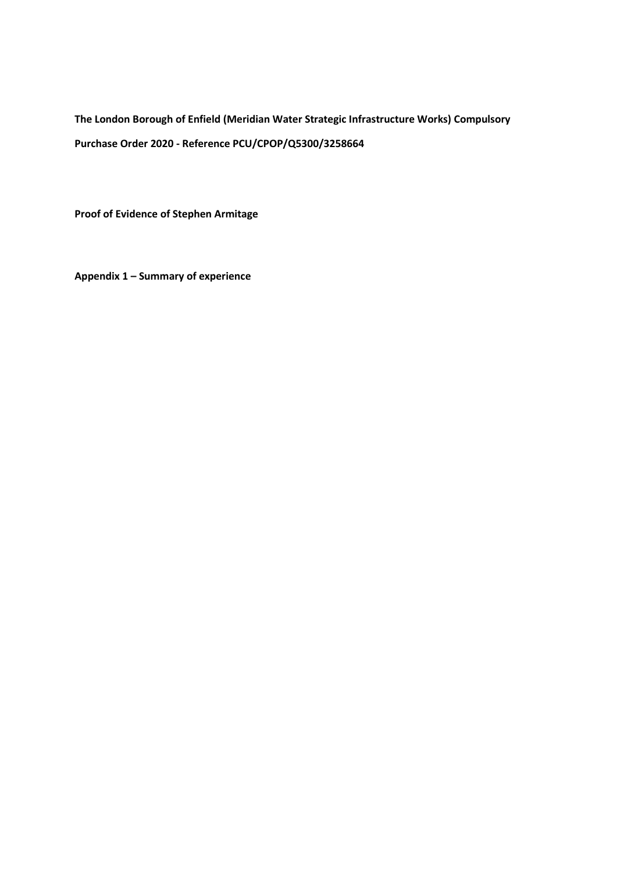**The London Borough of Enfield (Meridian Water Strategic Infrastructure Works) Compulsory Purchase Order 2020 - Reference PCU/CPOP/Q5300/3258664**

**Proof of Evidence of Stephen Armitage**

**Appendix 1 – Summary of experience**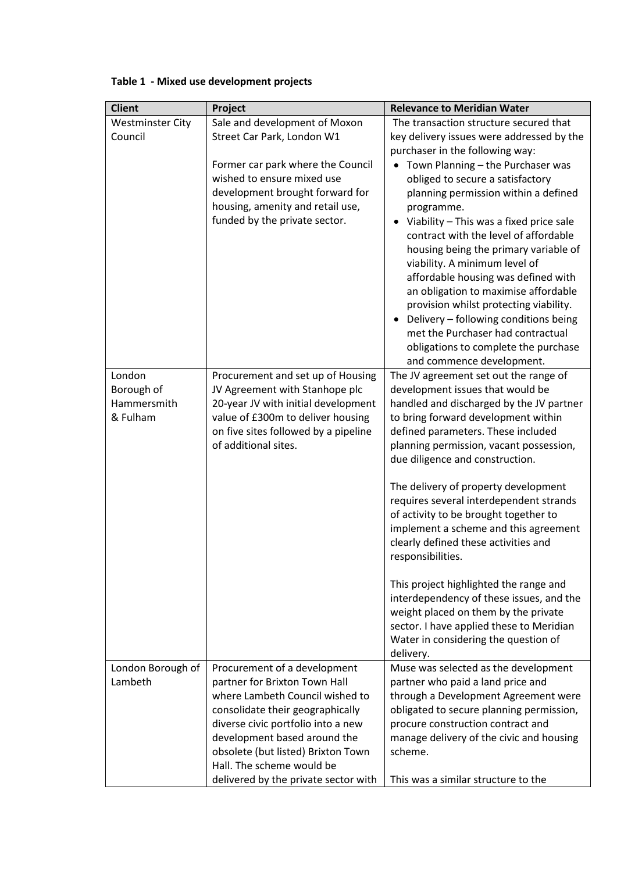| <b>Client</b>           | Project                                                           | <b>Relevance to Meridian Water</b>                                         |
|-------------------------|-------------------------------------------------------------------|----------------------------------------------------------------------------|
| <b>Westminster City</b> | Sale and development of Moxon                                     | The transaction structure secured that                                     |
| Council                 | Street Car Park, London W1                                        | key delivery issues were addressed by the                                  |
|                         |                                                                   | purchaser in the following way:                                            |
|                         | Former car park where the Council                                 | Town Planning - the Purchaser was                                          |
|                         | wished to ensure mixed use                                        | obliged to secure a satisfactory                                           |
|                         | development brought forward for                                   | planning permission within a defined                                       |
|                         | housing, amenity and retail use,                                  | programme.                                                                 |
|                         | funded by the private sector.                                     | Viability - This was a fixed price sale                                    |
|                         |                                                                   | contract with the level of affordable                                      |
|                         |                                                                   | housing being the primary variable of                                      |
|                         |                                                                   | viability. A minimum level of                                              |
|                         |                                                                   | affordable housing was defined with                                        |
|                         |                                                                   | an obligation to maximise affordable                                       |
|                         |                                                                   | provision whilst protecting viability.                                     |
|                         |                                                                   | Delivery - following conditions being<br>met the Purchaser had contractual |
|                         |                                                                   | obligations to complete the purchase                                       |
|                         |                                                                   | and commence development.                                                  |
| London                  | Procurement and set up of Housing                                 | The JV agreement set out the range of                                      |
| Borough of              | JV Agreement with Stanhope plc                                    | development issues that would be                                           |
| Hammersmith             | 20-year JV with initial development                               | handled and discharged by the JV partner                                   |
| & Fulham                | value of £300m to deliver housing                                 | to bring forward development within                                        |
|                         | on five sites followed by a pipeline                              | defined parameters. These included                                         |
|                         | of additional sites.                                              | planning permission, vacant possession,                                    |
|                         |                                                                   | due diligence and construction.                                            |
|                         |                                                                   | The delivery of property development                                       |
|                         |                                                                   | requires several interdependent strands                                    |
|                         |                                                                   | of activity to be brought together to                                      |
|                         |                                                                   | implement a scheme and this agreement                                      |
|                         |                                                                   | clearly defined these activities and                                       |
|                         |                                                                   | responsibilities.                                                          |
|                         |                                                                   | This project highlighted the range and                                     |
|                         |                                                                   | interdependency of these issues, and the                                   |
|                         |                                                                   | weight placed on them by the private                                       |
|                         |                                                                   | sector. I have applied these to Meridian                                   |
|                         |                                                                   | Water in considering the question of                                       |
|                         |                                                                   | delivery.                                                                  |
| London Borough of       | Procurement of a development                                      | Muse was selected as the development                                       |
| Lambeth                 | partner for Brixton Town Hall                                     | partner who paid a land price and                                          |
|                         | where Lambeth Council wished to                                   | through a Development Agreement were                                       |
|                         | consolidate their geographically                                  | obligated to secure planning permission,                                   |
|                         | diverse civic portfolio into a new                                | procure construction contract and                                          |
|                         | development based around the                                      | manage delivery of the civic and housing                                   |
|                         | obsolete (but listed) Brixton Town                                | scheme.                                                                    |
|                         | Hall. The scheme would be<br>delivered by the private sector with | This was a similar structure to the                                        |
|                         |                                                                   |                                                                            |

## **Table 1 - Mixed use development projects**